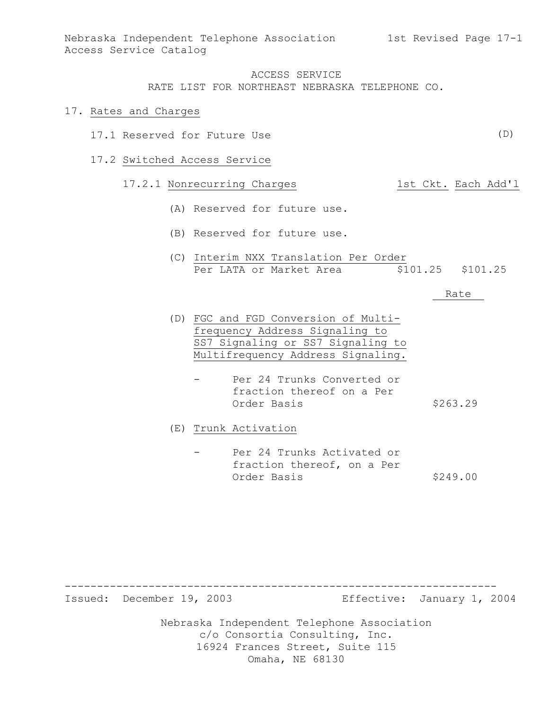#### 17. Rates and Charges

- 17.1 Reserved for Future Use
- 17.2 Switched Access Service

### 17.2.1 Nonrecurring Charges 1st Ckt. Each Add'l

- (A) Reserved for future use.
- (B) Reserved for future use.
- (C) Interim NXX Translation Per Order Per LATA or Market Area  $$101.25$  \$101.25

#### Rate

- (D) FGC and FGD Conversion of Multifrequency Address Signaling to SS7 Signaling or SS7 Signaling to Multifrequency Address Signaling.
	- Per 24 Trunks Converted or fraction thereof on a Per Order Basis \$263.29

(E) Trunk Activation

Per 24 Trunks Activated or fraction thereof, on a Per Order Basis \$249.00

-------------------------------------------------------------------

Issued: December 19, 2003 Effective: January 1, 2004

Nebraska Independent Telephone Association c/o Consortia Consulting, Inc. 16924 Frances Street, Suite 115 Omaha, NE 68130

(D)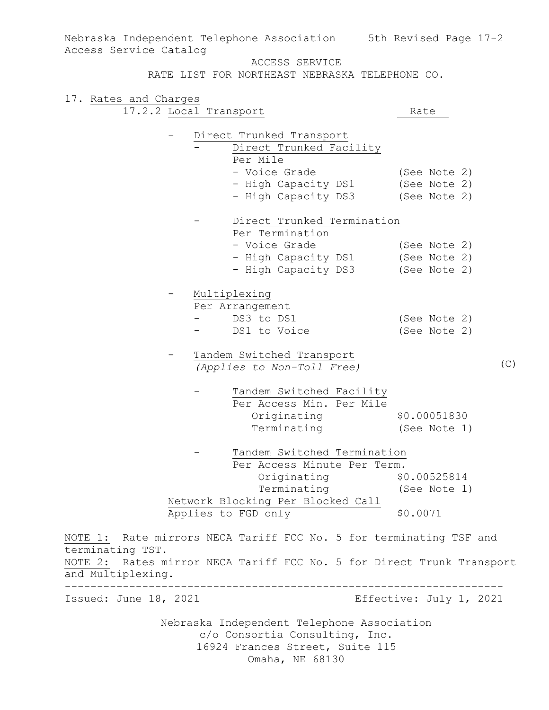ACCESS SERVICE RATE LIST FOR NORTHEAST NEBRASKA TELEPHONE CO. 17. Rates and Charges 17.2.2 Local Transport Rate - Direct Trunked Transport Direct Trunked Facility Per Mile - Voice Grade (See Note 2) - High Capacity DS1 (See Note 2) - High Capacity DS3 (See Note 2) - Direct Trunked Termination Per Termination - Voice Grade (See Note 2) - High Capacity DS1 (See Note 2) - High Capacity DS3 (See Note 2) - Multiplexing Per Arrangement<br>- DS3 to DS1 (See Note 2)<br>(See Note 2) - DS1 to Voice Tandem Switched Transport *(Applies to Non-Toll Free)* Tandem Switched Facility Per Access Min. Per Mile Originating \$0.00051830 Terminating (See Note 1) Tandem Switched Termination Per Access Minute Per Term. Originating \$0.00525814 Terminating (See Note 1) Network Blocking Per Blocked Call Applies to FGD only \$0.0071 NOTE 1: Rate mirrors NECA Tariff FCC No. 5 for terminating TSF and terminating TST. NOTE 2: Rates mirror NECA Tariff FCC No. 5 for Direct Trunk Transport and Multiplexing. -------------------------------------------------------------------- Issued: June 18, 2021 Effective: July 1, 2021  $(C)$ 

Nebraska Independent Telephone Association 5th Revised Page 17-2

Access Service Catalog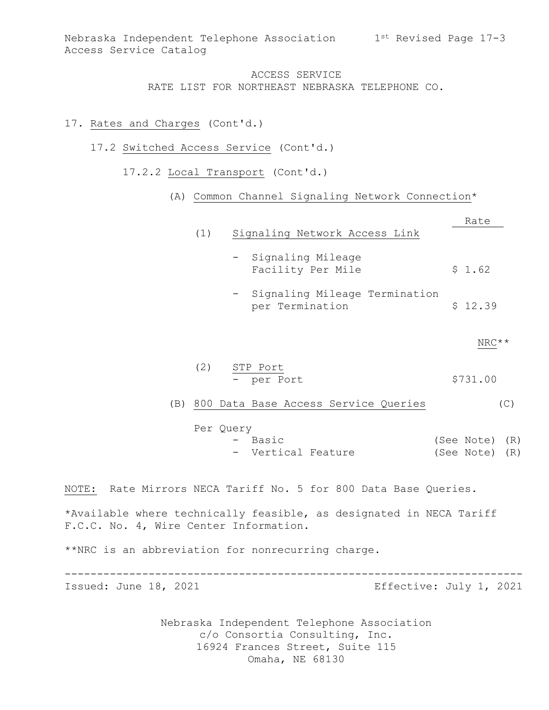### 17. Rates and Charges (Cont'd.)

- 17.2 Switched Access Service (Cont'd.)
	- 17.2.2 Local Transport (Cont'd.)
		- (A) Common Channel Signaling Network Connection\*

|                                        |           |                                                                     | Rate                             |       |
|----------------------------------------|-----------|---------------------------------------------------------------------|----------------------------------|-------|
|                                        | (1)       | Signaling Network Access Link                                       |                                  |       |
|                                        |           | - Signaling Mileage<br>Facility Per Mile                            | \$1.62                           |       |
|                                        |           | - Signaling Mileage Termination<br>per Termination                  | \$12.39                          |       |
|                                        |           |                                                                     |                                  | NRC** |
|                                        | (2)       | STP Port<br>- per Port                                              | \$731.00                         |       |
|                                        |           | (B) 800 Data Base Access Service Queries                            |                                  | (C)   |
|                                        | Per Query | - Basic<br>- Vertical Feature                                       | (See Note) (R)<br>(See Note) (R) |       |
|                                        |           | NOTE: Rate Mirrors NECA Tariff No. 5 for 800 Data Base Queries.     |                                  |       |
| F.C.C. No. 4, Wire Center Information. |           | *Available where technically feasible, as designated in NECA Tariff |                                  |       |
|                                        |           | **NRC is an abbreviation for nonrecurring charge.                   |                                  |       |
| Issued: June 18, 2021                  |           |                                                                     | Effective: July 1, 2021          |       |
|                                        |           | Nobracka Indonesdent Telephone Association                          |                                  |       |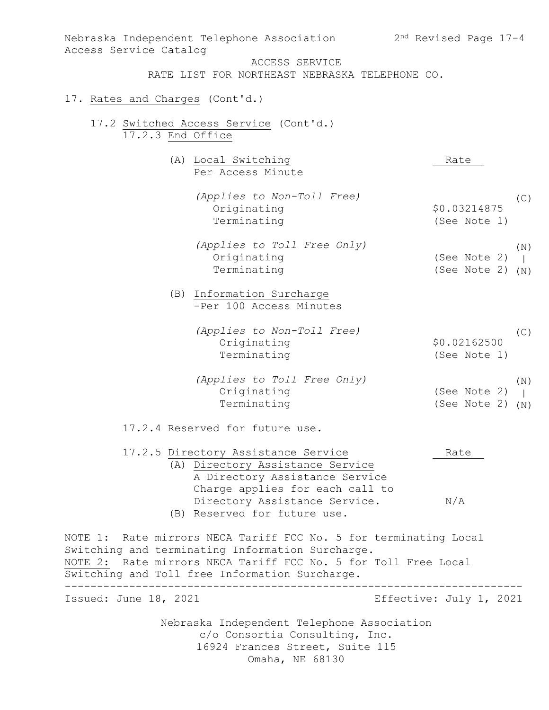| Nebraska Independent Telephone Association<br>Access Service Catalog                                               | $2nd$ Revised Page 17-4 |  |  |  |
|--------------------------------------------------------------------------------------------------------------------|-------------------------|--|--|--|
| ACCESS SERVICE                                                                                                     |                         |  |  |  |
| RATE LIST FOR NORTHEAST NEBRASKA TELEPHONE CO.                                                                     |                         |  |  |  |
| 17. Rates and Charges (Cont'd.)                                                                                    |                         |  |  |  |
| 17.2 Switched Access Service (Cont'd.)<br>17.2.3 End Office                                                        |                         |  |  |  |
| (A) Local Switching                                                                                                | Rate                    |  |  |  |
| Per Access Minute                                                                                                  |                         |  |  |  |
| (Applies to Non-Toll Free)                                                                                         | (C)                     |  |  |  |
| Originating                                                                                                        | \$0.03214875            |  |  |  |
| Terminating                                                                                                        | (See Note 1)            |  |  |  |
| (Applies to Toll Free Only)                                                                                        | (N)                     |  |  |  |
| Originating                                                                                                        | (See Note 2)            |  |  |  |
| Terminating                                                                                                        | (See Note 2)<br>(N)     |  |  |  |
| (B) Information Surcharge                                                                                          |                         |  |  |  |
| -Per 100 Access Minutes                                                                                            |                         |  |  |  |
| (Applies to Non-Toll Free)                                                                                         | (C)                     |  |  |  |
| Originating                                                                                                        | \$0.02162500            |  |  |  |
| Terminating                                                                                                        | (See Note 1)            |  |  |  |
| (Applies to Toll Free Only)                                                                                        | (N)                     |  |  |  |
| Originating                                                                                                        | (See Note 2)            |  |  |  |
| Terminating                                                                                                        | (See Note 2)<br>(N)     |  |  |  |
| 17.2.4 Reserved for future use.                                                                                    |                         |  |  |  |
| 17.2.5 Directory Assistance Service                                                                                | Rate                    |  |  |  |
| (A) Directory Assistance Service                                                                                   |                         |  |  |  |
| A Directory Assistance Service                                                                                     |                         |  |  |  |
| Charge applies for each call to                                                                                    |                         |  |  |  |
| Directory Assistance Service.<br>(B) Reserved for future use.                                                      | N/A                     |  |  |  |
|                                                                                                                    |                         |  |  |  |
| NOTE 1: Rate mirrors NECA Tariff FCC No. 5 for terminating Local                                                   |                         |  |  |  |
| Switching and terminating Information Surcharge.<br>NOTE 2: Rate mirrors NECA Tariff FCC No. 5 for Toll Free Local |                         |  |  |  |
| Switching and Toll free Information Surcharge.                                                                     |                         |  |  |  |
| Issued: June 18, 2021                                                                                              | Effective: July 1, 2021 |  |  |  |
|                                                                                                                    |                         |  |  |  |
| Nebraska Independent Telephone Association                                                                         |                         |  |  |  |
| c/o Consortia Consulting, Inc.                                                                                     |                         |  |  |  |
| 16924 Frances Street, Suite 115                                                                                    |                         |  |  |  |
| Omaha, NE 68130                                                                                                    |                         |  |  |  |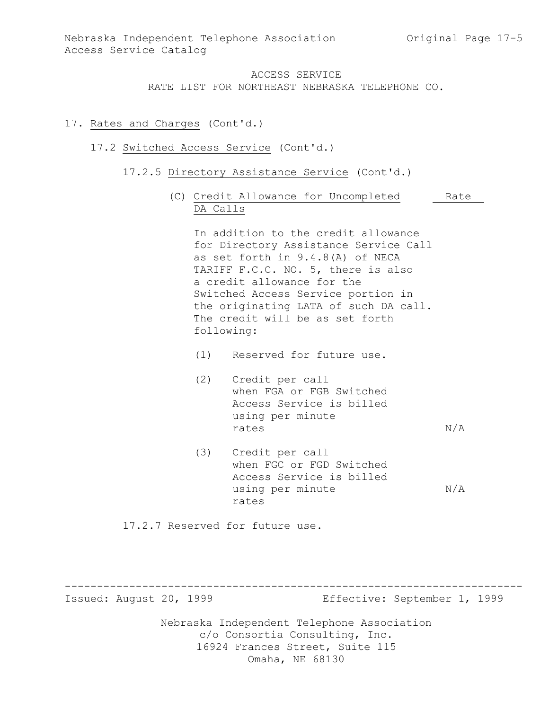### 17. Rates and Charges (Cont'd.)

### 17.2 Switched Access Service (Cont'd.)

- 17.2.5 Directory Assistance Service (Cont'd.)
	- (C) Credit Allowance for Uncompleted Rate DA Calls

In addition to the credit allowance for Directory Assistance Service Call as set forth in 9.4.8(A) of NECA TARIFF F.C.C. NO. 5, there is also a credit allowance for the Switched Access Service portion in the originating LATA of such DA call. The credit will be as set forth following:

- (1) Reserved for future use.
- (2) Credit per call when FGA or FGB Switched Access Service is billed using per minute rates  $N/A$
- (3) Credit per call when FGC or FGD Switched Access Service is billed using per minute  $N/A$ rates

17.2.7 Reserved for future use.

Issued: August 20, 1999 Effective: September 1, 1999

Nebraska Independent Telephone Association c/o Consortia Consulting, Inc. 16924 Frances Street, Suite 115 Omaha, NE 68130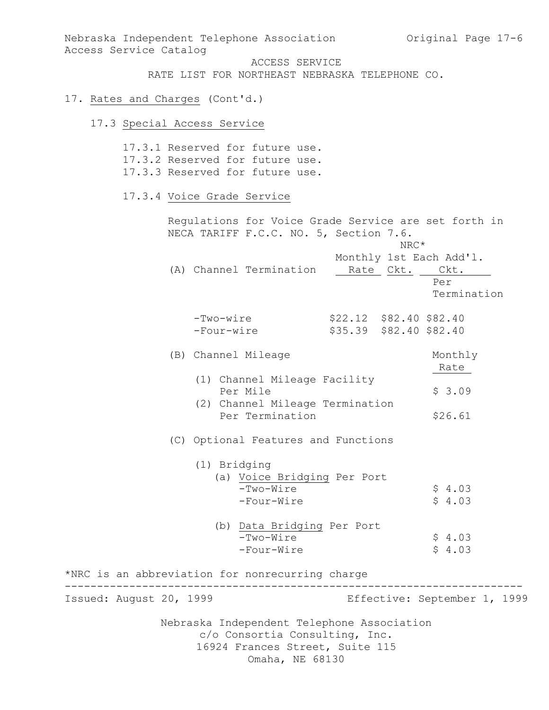Nebraska Independent Telephone Association and Original Page 17-6 Access Service Catalog

ACCESS SERVICE

RATE LIST FOR NORTHEAST NEBRASKA TELEPHONE CO.

#### 17. Rates and Charges (Cont'd.)

#### 17.3 Special Access Service

Nebraska Independent Telephone Association c/o Consortia Consulting, Inc. 16924 Frances Street, Suite 115 17.3.1 Reserved for future use. 17.3.2 Reserved for future use. 17.3.3 Reserved for future use. 17.3.4 Voice Grade Service Regulations for Voice Grade Service are set forth in NECA TARIFF F.C.C. NO. 5, Section 7.6. NRC\* Monthly 1st Each Add'l. (A) Channel Termination Rate Ckt. Ckt. Per Termination -Two-wire \$22.12 \$82.40 \$82.40 -Four-wire \$35.39 \$82.40 \$82.40 (B) Channel Mileage Monthly Rate (1) Channel Mileage Facility Per Mile  $$3.09$  (2) Channel Mileage Termination Per Termination \$26.61 (C) Optional Features and Functions (1) Bridging (a) Voice Bridging Per Port  $-Two-Wire$  \$ 4.03 -Four-Wire  $\qquad \qquad$  \$ 4.03 (b) Data Bridging Per Port  $-Two-Wire$   $$4.03$  $-Four-Wire$   $$4.03$ \*NRC is an abbreviation for nonrecurring charge ----------------------------------------------------------------------- Issued: August 20, 1999 Effective: September 1, 1999

Omaha, NE 68130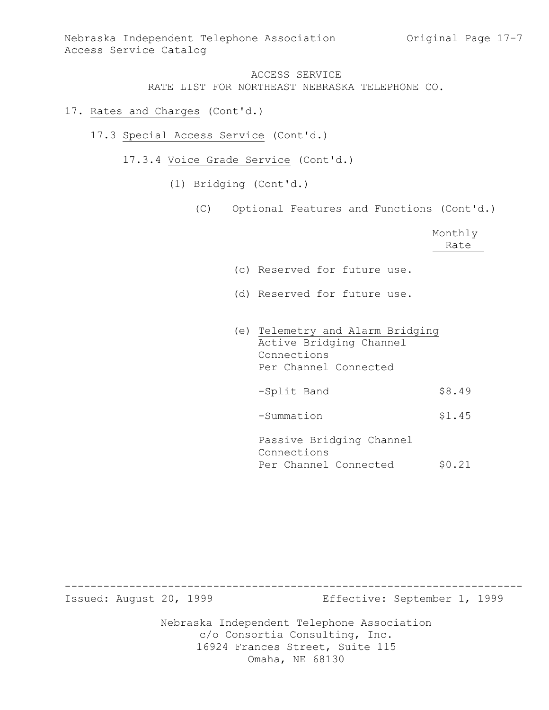- 17. Rates and Charges (Cont'd.)
	- 17.3 Special Access Service (Cont'd.)
		- 17.3.4 Voice Grade Service (Cont'd.)
			- (1) Bridging (Cont'd.)
				- (C) Optional Features and Functions (Cont'd.)

|                              |  | Monthly |
|------------------------------|--|---------|
|                              |  | Rate    |
|                              |  |         |
| (c) Reserved for future use. |  |         |
|                              |  |         |

- (d) Reserved for future use.
- (e) Telemetry and Alarm Bridging Active Bridging Channel Connections Per Channel Connected -Split Band \$8.49 -Summation \$1.45 Passive Bridging Channel Connections

Per Channel Connected \$0.21

Nebraska Independent Telephone Association c/o Consortia Consulting, Inc. ----------------------------------------------------------------------- Issued: August 20, 1999 Effective: September 1, 1999

16924 Frances Street, Suite 115 Omaha, NE 68130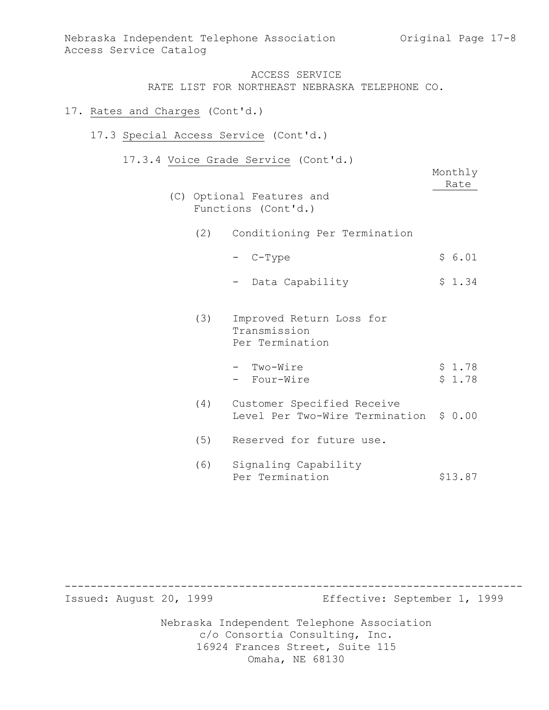- 17. Rates and Charges (Cont'd.)
	- 17.3 Special Access Service (Cont'd.)
		- 17.3.4 Voice Grade Service (Cont'd.)

|     | (C) Optional Features and<br>Functions (Cont'd.)             | Monthly<br>Rate  |
|-----|--------------------------------------------------------------|------------------|
| (2) | Conditioning Per Termination                                 |                  |
|     | - C-Type                                                     | \$6.01           |
|     | Data Capability                                              | \$1.34           |
| (3) | Improved Return Loss for<br>Transmission<br>Per Termination  |                  |
|     | - Two-Wire<br>- Four-Wire                                    | \$1.78<br>\$1.78 |
| (4) | Customer Specified Receive<br>Level Per Two-Wire Termination | \$0.00           |
| (5) | Reserved for future use.                                     |                  |
| (6) | Signaling Capability<br>Per Termination                      | \$13.87          |

Nebraska Independent Telephone Association c/o Consortia Consulting, Inc. 16924 Frances Street, Suite 115 Omaha, NE 68130 ----------------------------------------------------------------------- Issued: August 20, 1999 Effective: September 1, 1999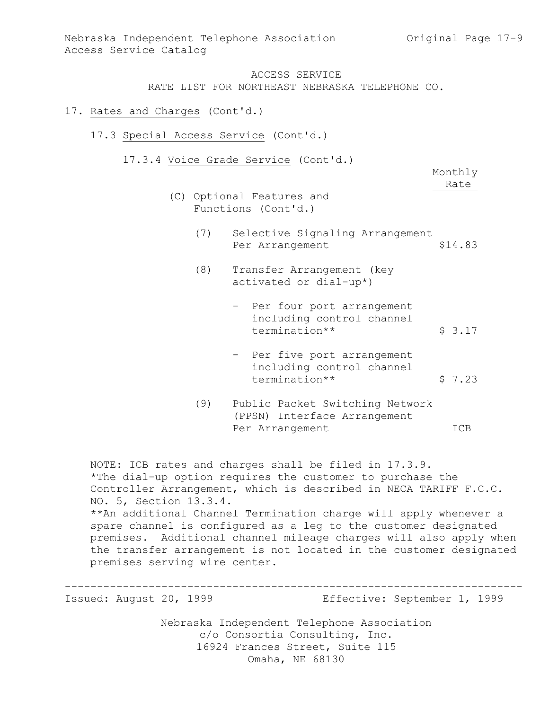- 17. Rates and Charges (Cont'd.)
	- 17.3 Special Access Service (Cont'd.)
		- 17.3.4 Voice Grade Service (Cont'd.)

Monthly Rate

- (C) Optional Features and Functions (Cont'd.)
	- (7) Selective Signaling Arrangement Per Arrangement \$14.83
	- (8) Transfer Arrangement (key activated or dial-up\*)
		- Per four port arrangement including control channel termination\*\* <br>\$ 3.17
		- Per five port arrangement including control channel termination\*\* <br>\$ 7.23
	- (9) Public Packet Switching Network (PPSN) Interface Arrangement Per Arrangement ICB

NOTE: ICB rates and charges shall be filed in 17.3.9. \*The dial-up option requires the customer to purchase the Controller Arrangement, which is described in NECA TARIFF F.C.C. NO. 5, Section 13.3.4. \*\*An additional Channel Termination charge will apply whenever a spare channel is configured as a leg to the customer designated premises. Additional channel mileage charges will also apply when the transfer arrangement is not located in the customer designated premises serving wire center.

----------------------------------------------------------------------- Issued: August 20, 1999 Effective: September 1, 1999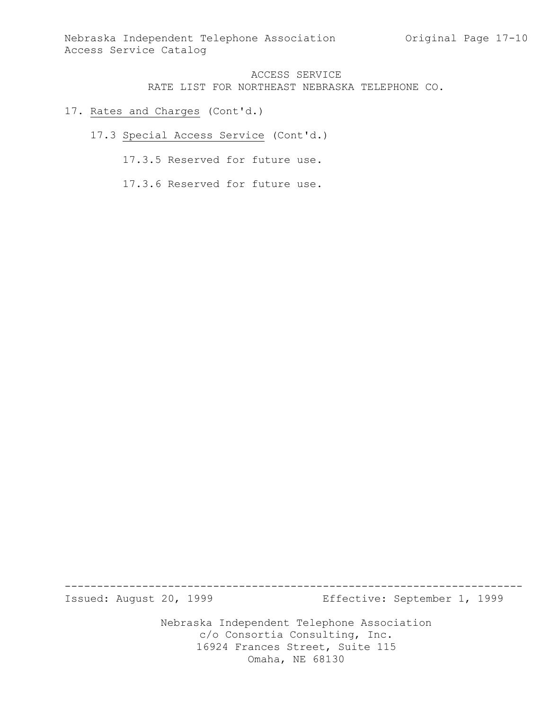- 17. Rates and Charges (Cont'd.)
	- 17.3 Special Access Service (Cont'd.)
		- 17.3.5 Reserved for future use.
		- 17.3.6 Reserved for future use.

Issued: August 20, 1999 Effective: September 1, 1999

Nebraska Independent Telephone Association c/o Consortia Consulting, Inc. 16924 Frances Street, Suite 115 Omaha, NE 68130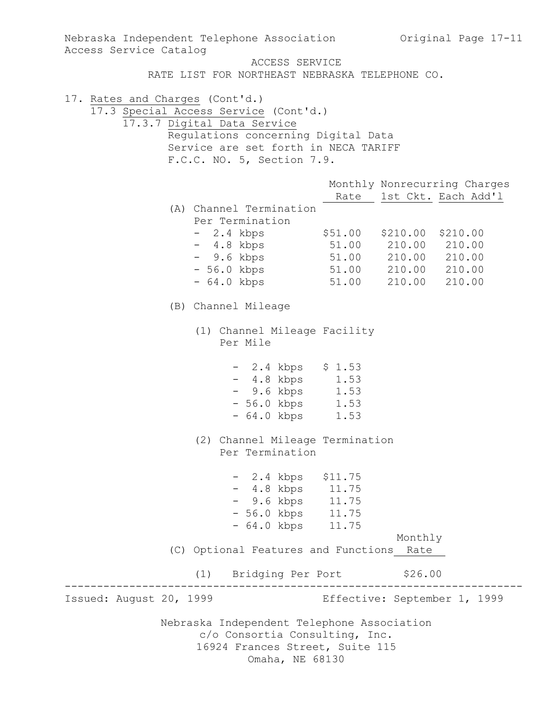Nebraska Independent Telephone Association c/o Consortia Consulting, Inc. 16924 Frances Street, Suite 115 Omaha, NE 68130 Nebraska Independent Telephone Association Original Page 17-11 Access Service Catalog ACCESS SERVICE RATE LIST FOR NORTHEAST NEBRASKA TELEPHONE CO. 17. Rates and Charges (Cont'd.) 17.3 Special Access Service (Cont'd.) 17.3.7 Digital Data Service Regulations concerning Digital Data Service are set forth in NECA TARIFF F.C.C. NO. 5, Section 7.9. Monthly Nonrecurring Charges Rate 1st Ckt. Each Add'l (A) Channel Termination Per Termination - 2.4 kbps \$51.00 \$210.00 \$210.00 - 4.8 kbps 51.00 210.00 210.00 - 9.6 kbps 51.00 210.00 210.00 - 56.0 kbps 51.00 210.00 210.00 - 64.0 kbps 51.00 210.00 210.00 (B) Channel Mileage (1) Channel Mileage Facility Per Mile - 2.4 kbps \$ 1.53 - 4.8 kbps 1.53 - 9.6 kbps 1.53 - 56.0 kbps 1.53 - 64.0 kbps 1.53 (2) Channel Mileage Termination Per Termination - 2.4 kbps \$11.75 - 4.8 kbps 11.75 - 9.6 kbps 11.75 - 56.0 kbps 11.75 - 64.0 kbps 11.75 Monthly (C) Optional Features and Functions Rate (1) Bridging Per Port \$26.00 ----------------------------------------------------------------------- Issued: August 20, 1999 Effective: September 1, 1999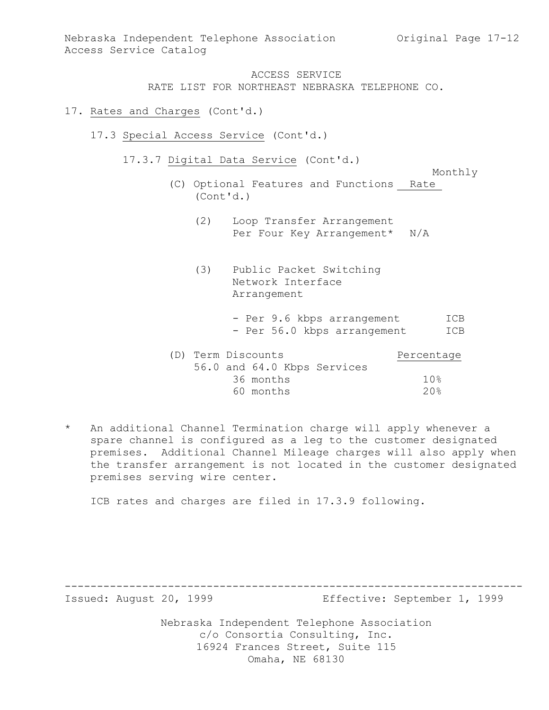- 17. Rates and Charges (Cont'd.)
	- 17.3 Special Access Service (Cont'd.)
		- 17.3.7 Digital Data Service (Cont'd.)

Monthly

- (C) Optional Features and Functions Rate (Cont'd.)
	- (2) Loop Transfer Arrangement Per Four Key Arrangement\* N/A
	- (3) Public Packet Switching Network Interface Arrangement
		- Per 9.6 kbps arrangement ICB - Per 56.0 kbps arrangement ICB

| (D) Term Discounts |           |                             | Percentage |
|--------------------|-----------|-----------------------------|------------|
|                    |           | 56.0 and 64.0 Kbps Services |            |
|                    | 36 months |                             | 10%        |
|                    | 60 months |                             | 20%        |

\* An additional Channel Termination charge will apply whenever a spare channel is configured as a leg to the customer designated premises. Additional Channel Mileage charges will also apply when the transfer arrangement is not located in the customer designated premises serving wire center.

ICB rates and charges are filed in 17.3.9 following.

-----------------------------------------------------------------------

Issued: August 20, 1999 Effective: September 1, 1999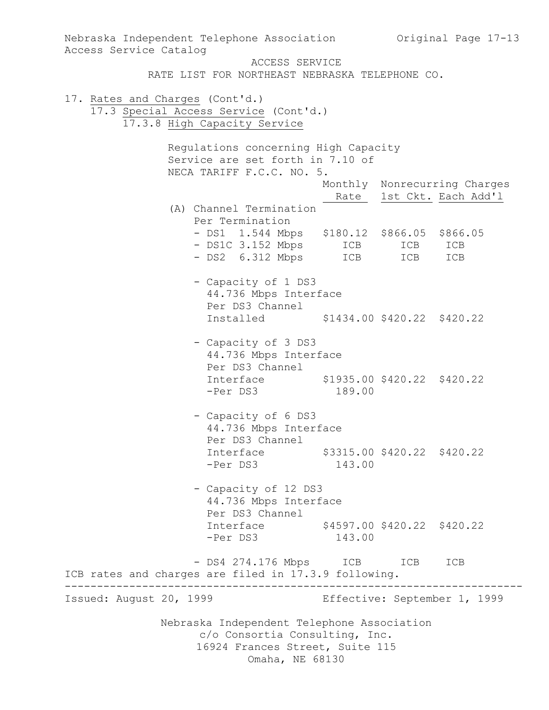Nebraska Independent Telephone Association c/o Consortia Consulting, Inc. 16924 Frances Street, Suite 115 Omaha, NE 68130 Nebraska Independent Telephone Association Original Page 17-13 Access Service Catalog ACCESS SERVICE RATE LIST FOR NORTHEAST NEBRASKA TELEPHONE CO. 17. Rates and Charges (Cont'd.) 17.3 Special Access Service (Cont'd.) 17.3.8 High Capacity Service Regulations concerning High Capacity Service are set forth in 7.10 of NECA TARIFF F.C.C. NO. 5. Monthly Nonrecurring Charges Rate 1st Ckt. Each Add'1 (A) Channel Termination Per Termination - DS1 1.544 Mbps \$180.12 \$866.05 \$866.05 - DS1C 3.152 Mbps ICB ICB ICB - DS2 6.312 Mbps ICB ICB ICB - Capacity of 1 DS3 44.736 Mbps Interface Per DS3 Channel Installed \$1434.00 \$420.22 \$420.22 - Capacity of 3 DS3 44.736 Mbps Interface Per DS3 Channel Interface \$1935.00 \$420.22 \$420.22 -Per DS3 189.00 - Capacity of 6 DS3 44.736 Mbps Interface Per DS3 Channel Interface \$3315.00 \$420.22 \$420.22 -Per DS3 143.00 - Capacity of 12 DS3 44.736 Mbps Interface Per DS3 Channel Interface \$4597.00 \$420.22 \$420.22 -Per DS3 143.00 - DS4 274.176 Mbps ICB ICB ICB ICB rates and charges are filed in 17.3.9 following. ----------------------------------------------------------------------- Issued: August 20, 1999 Effective: September 1, 1999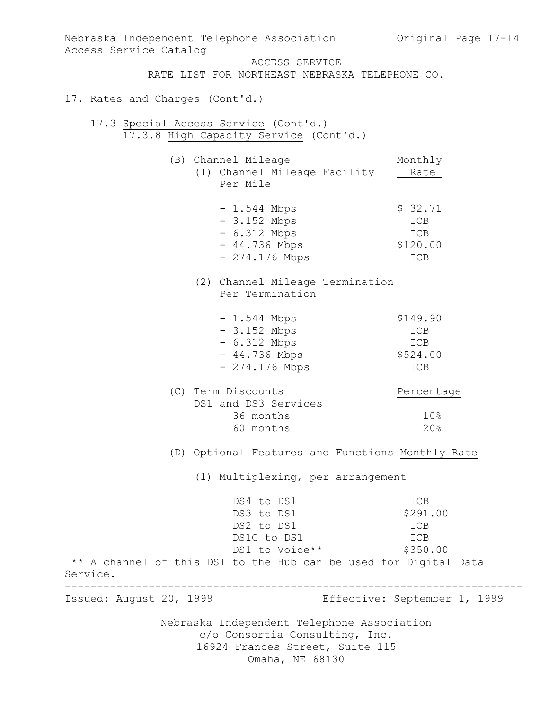Nebraska Independent Telephone Association c/o Consortia Consulting, Inc. 16924 Frances Street, Suite 115 Omaha, NE 68130 Nebraska Independent Telephone Association Original Page 17-14 Access Service Catalog ACCESS SERVICE RATE LIST FOR NORTHEAST NEBRASKA TELEPHONE CO. 17. Rates and Charges (Cont'd.) 17.3 Special Access Service (Cont'd.) 17.3.8 High Capacity Service (Cont'd.) (B) Channel Mileage Monthly (1) Channel Mileage Facility Rate Per Mile  $- 1.544$  Mbps  $\frac{1}{2}$  \$ 32.71 - 3.152 Mbps ICB - 6.312 Mbps ICB - 44.736 Mbps \$120.00 - 274.176 Mbps ICB (2) Channel Mileage Termination Per Termination - 1.544 Mbps \$149.90<br>- 3.152 Mbps ICB - 3.152 Mbps ICB - 6.312 Mbps ICB - 44.736 Mbps \$524.00 - 274.176 Mbps ICB (C) Term Discounts Percentage DS1 and DS3 Services 36 months 10% 60 months 20% (D) Optional Features and Functions Monthly Rate (1) Multiplexing, per arrangement DS4 to DS1 ICB DS3 to DS1 \$291.00<br>DS2 to DS1 ICB ICB  $DS2$  to  $DS1$ DS1C to DS1 ICB DS1 to Voice \*\* \$350.00 \*\* A channel of this DS1 to the Hub can be used for Digital Data Service. ----------------------------------------------------------------------- Issued: August 20, 1999 Effective: September 1, 1999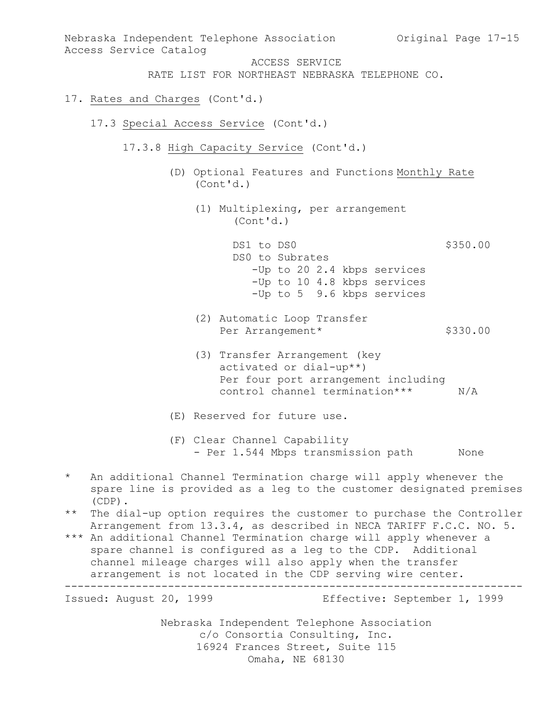Nebraska Independent Telephone Association c/o Consortia Consulting, Inc. 16924 Frances Street, Suite 115 Nebraska Independent Telephone Association Original Page 17-15 Access Service Catalog ACCESS SERVICE RATE LIST FOR NORTHEAST NEBRASKA TELEPHONE CO. 17. Rates and Charges (Cont'd.) 17.3 Special Access Service (Cont'd.) 17.3.8 High Capacity Service (Cont'd.) (D) Optional Features and Functions Monthly Rate (Cont'd.) (1) Multiplexing, per arrangement (Cont'd.) DS1 to DS0 \$350.00 DS0 to Subrates -Up to 20 2.4 kbps services -Up to 10 4.8 kbps services -Up to 5 9.6 kbps services (2) Automatic Loop Transfer Per Arrangement\* \$330.00 (3) Transfer Arrangement (key activated or dial-up\*\*) Per four port arrangement including control channel termination\*\*\* N/A (E) Reserved for future use. (F) Clear Channel Capability - Per 1.544 Mbps transmission path Mone \* An additional Channel Termination charge will apply whenever the spare line is provided as a leg to the customer designated premises (CDP). \*\* The dial-up option requires the customer to purchase the Controller Arrangement from 13.3.4, as described in NECA TARIFF F.C.C. NO. 5. \*\*\* An additional Channel Termination charge will apply whenever a spare channel is configured as a leg to the CDP. Additional channel mileage charges will also apply when the transfer arrangement is not located in the CDP serving wire center. ----------------------------------------------------------------------- Issued: August 20, 1999 Effective: September 1, 1999

Omaha, NE 68130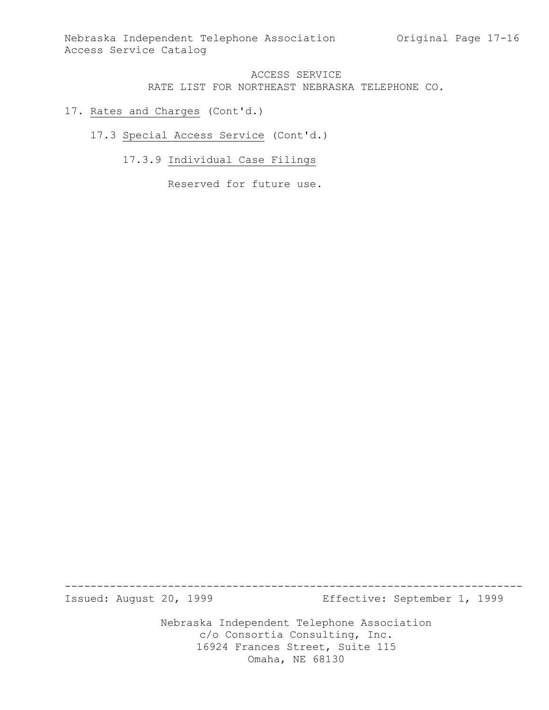- 17. Rates and Charges (Cont'd.)
	- 17.3 Special Access Service (Cont'd.)
		- 17.3.9 Individual Case Filings

Reserved for future use.

Issued: August 20, 1999 Effective: September 1, 1999

Nebraska Independent Telephone Association c/o Consortia Consulting, Inc. 16924 Frances Street, Suite 115 Omaha, NE 68130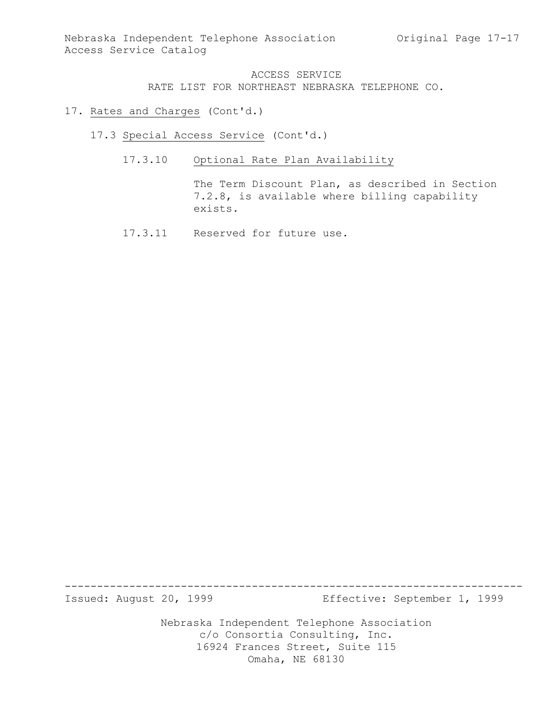- 17. Rates and Charges (Cont'd.)
	- 17.3 Special Access Service (Cont'd.)
		- 17.3.10 Optional Rate Plan Availability

The Term Discount Plan, as described in Section 7.2.8, is available where billing capability exists.

17.3.11 Reserved for future use.

Issued: August 20, 1999 Effective: September 1, 1999

Nebraska Independent Telephone Association c/o Consortia Consulting, Inc. 16924 Frances Street, Suite 115 Omaha, NE 68130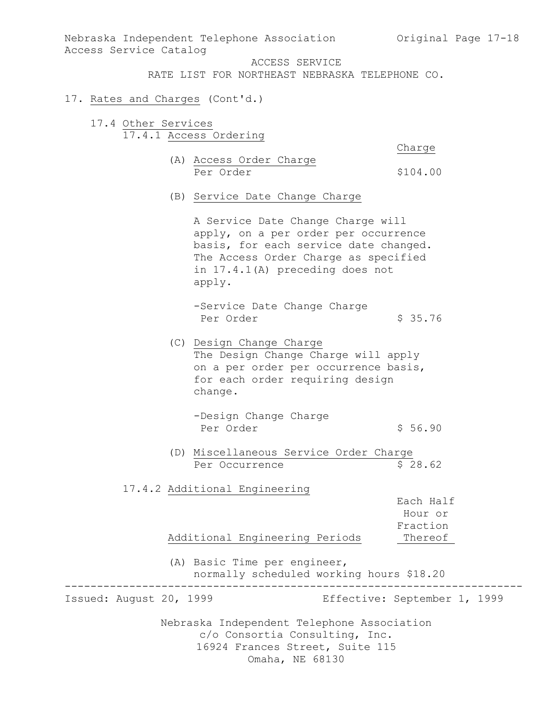Nebraska Independent Telephone Association Original Page 17-18 Access Service Catalog

ACCESS SERVICE

RATE LIST FOR NORTHEAST NEBRASKA TELEPHONE CO.

#### 17. Rates and Charges (Cont'd.)

17.4 Other Services 17.4.1 Access Ordering

Charge

- (A) Access Order Charge Per Order  $$104.00$
- (B) Service Date Change Charge

A Service Date Change Charge will apply, on a per order per occurrence basis, for each service date changed. The Access Order Charge as specified in 17.4.1(A) preceding does not apply.

-Service Date Change Charge Per Order \$ 35.76

- (C) Design Change Charge The Design Change Charge will apply on a per order per occurrence basis, for each order requiring design change.
	- -Design Change Charge Per Order \$ 56.90
- (D) Miscellaneous Service Order Charge Per Occurrence \$ 28.62

#### 17.4.2 Additional Engineering

Each Half Hour or Fraction Additional Engineering Periods Thereof

(A) Basic Time per engineer, normally scheduled working hours \$18.20

-----------------------------------------------------------------------

Issued: August 20, 1999 Effective: September 1, 1999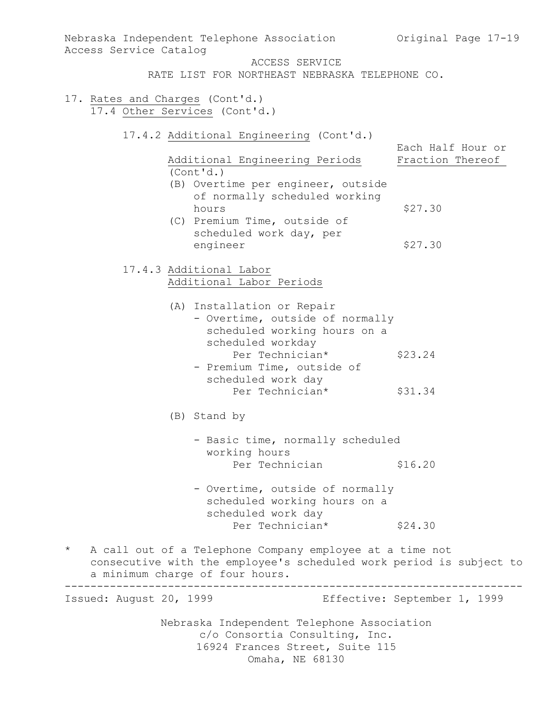| Nebraska Independent Telephone Association Original Page 17-19<br>Access Service Catalog                                                                                      |                                       |
|-------------------------------------------------------------------------------------------------------------------------------------------------------------------------------|---------------------------------------|
| ACCESS SERVICE<br>RATE LIST FOR NORTHEAST NEBRASKA TELEPHONE CO.                                                                                                              |                                       |
| 17. Rates and Charges (Cont'd.)<br>17.4 Other Services (Cont'd.)                                                                                                              |                                       |
| 17.4.2 Additional Engineering (Cont'd.)<br>Additional Engineering Periods<br>(Cont'd.)                                                                                        | Each Half Hour or<br>Fraction Thereof |
| (B) Overtime per engineer, outside<br>of normally scheduled working<br>hours<br>(C) Premium Time, outside of<br>scheduled work day, per<br>engineer                           | \$27.30<br>\$27.30                    |
| 17.4.3 Additional Labor<br>Additional Labor Periods                                                                                                                           |                                       |
| (A) Installation or Repair<br>- Overtime, outside of normally<br>scheduled working hours on a<br>scheduled workday<br>Per Technician*<br>- Premium Time, outside of           | \$23.24                               |
| scheduled work day<br>Per Technician*                                                                                                                                         | \$31.34                               |
| (B) Stand by                                                                                                                                                                  |                                       |
| - Basic time, normally scheduled<br>working hours                                                                                                                             |                                       |
| Per Technician                                                                                                                                                                | \$16.20                               |
| - Overtime, outside of normally<br>scheduled working hours on a<br>scheduled work day                                                                                         |                                       |
| Per Technician*                                                                                                                                                               | \$24.30                               |
| $\star$<br>A call out of a Telephone Company employee at a time not<br>consecutive with the employee's scheduled work period is subject to<br>a minimum charge of four hours. |                                       |
| Issued: August 20, 1999                                                                                                                                                       | Effective: September 1, 1999          |
| Nebraska Independent Telephone Association<br>c/o Consortia Consulting, Inc.<br>16924 Frances Street, Suite 115<br>Omaha, NE 68130                                            |                                       |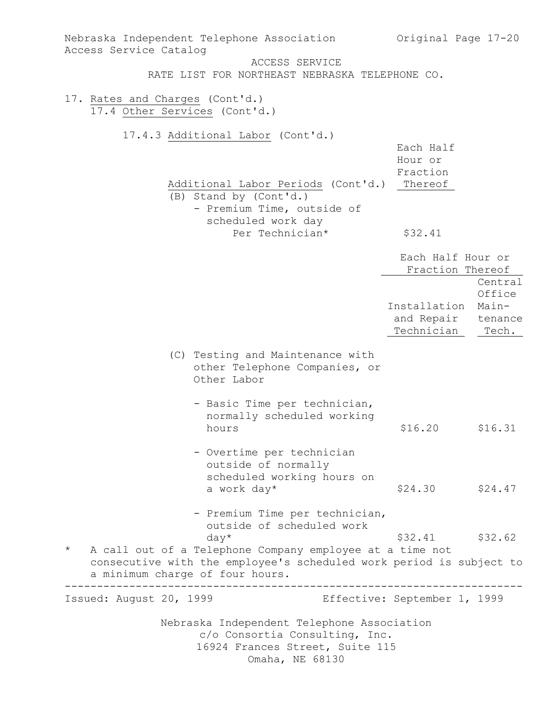| Nebraska Independent Telephone Association<br>Access Service Catalog                                                                                                                                                                                   | Original Page 17-20                                                                                             |                            |
|--------------------------------------------------------------------------------------------------------------------------------------------------------------------------------------------------------------------------------------------------------|-----------------------------------------------------------------------------------------------------------------|----------------------------|
| ACCESS SERVICE                                                                                                                                                                                                                                         |                                                                                                                 |                            |
| RATE LIST FOR NORTHEAST NEBRASKA TELEPHONE CO.                                                                                                                                                                                                         |                                                                                                                 |                            |
| 17. Rates and Charges (Cont'd.)<br>17.4 Other Services (Cont'd.)                                                                                                                                                                                       |                                                                                                                 |                            |
| 17.4.3 Additional Labor (Cont'd.)<br>Additional Labor Periods (Cont'd.)<br>(B) Stand by (Cont'd.)<br>- Premium Time, outside of<br>scheduled work day<br>Per Technician*                                                                               | Each Half<br>Hour or<br>Fraction<br>Thereof<br>\$32.41<br>Each Half Hour or<br>Fraction Thereof<br>Installation | Central<br>Office<br>Main- |
|                                                                                                                                                                                                                                                        | and Repair<br>Technician                                                                                        | tenance<br>Tech.           |
| (C) Testing and Maintenance with<br>other Telephone Companies, or<br>Other Labor                                                                                                                                                                       |                                                                                                                 |                            |
| - Basic Time per technician,<br>normally scheduled working<br>hours                                                                                                                                                                                    | \$16.20                                                                                                         | \$16.31                    |
| - Overtime per technician<br>outside of normally<br>scheduled working hours on<br>a work day*                                                                                                                                                          | \$24.30                                                                                                         | \$24.47                    |
| - Premium Time per technician,<br>outside of scheduled work<br>$day*$<br>$\star$<br>A call out of a Telephone Company employee at a time not<br>consecutive with the employee's scheduled work period is subject to<br>a minimum charge of four hours. | \$32.41                                                                                                         | \$32.62                    |
| Effective: September 1, 1999<br>Issued: August 20, 1999                                                                                                                                                                                                |                                                                                                                 |                            |
| Nebraska Independent Telephone Association<br>c/o Consortia Consulting, Inc.<br>16924 Frances Street, Suite 115<br>Omaha, NE 68130                                                                                                                     |                                                                                                                 |                            |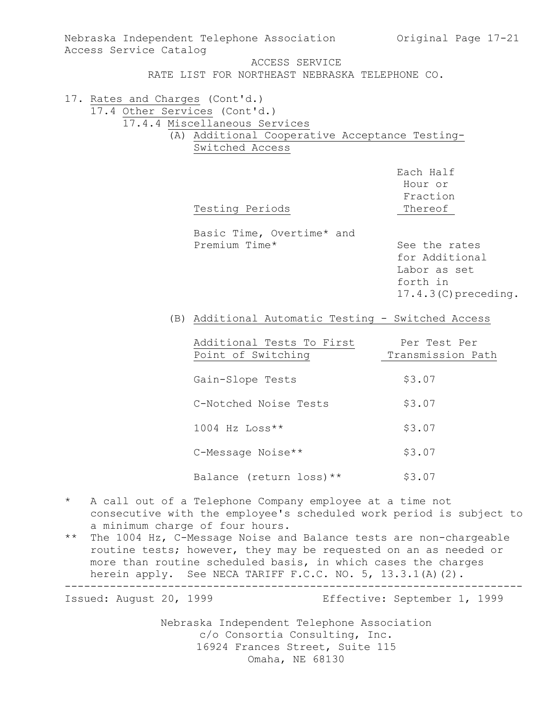| Nebraska Independent Telephone Association<br>Access Service Catalog | Original Page 17-21                                      |                         |  |
|----------------------------------------------------------------------|----------------------------------------------------------|-------------------------|--|
|                                                                      | ACCESS SERVICE                                           |                         |  |
|                                                                      | RATE LIST FOR NORTHEAST NEBRASKA TELEPHONE CO.           |                         |  |
|                                                                      |                                                          |                         |  |
| 17. Rates and Charges (Cont'd.)                                      | 17.4 Other Services (Cont'd.)                            |                         |  |
|                                                                      | 17.4.4 Miscellaneous Services                            |                         |  |
|                                                                      | (A) Additional Cooperative Acceptance Testing-           |                         |  |
|                                                                      | Switched Access                                          |                         |  |
|                                                                      |                                                          |                         |  |
|                                                                      |                                                          | Each Half               |  |
|                                                                      |                                                          | Hour or                 |  |
|                                                                      |                                                          |                         |  |
|                                                                      |                                                          | Fraction                |  |
|                                                                      | Testing Periods                                          | Thereof                 |  |
|                                                                      |                                                          |                         |  |
|                                                                      | Basic Time, Overtime* and<br>Premium Time*               | See the rates           |  |
|                                                                      |                                                          | for Additional          |  |
|                                                                      |                                                          |                         |  |
|                                                                      |                                                          | Labor as set            |  |
|                                                                      |                                                          | forth in                |  |
|                                                                      |                                                          | $17.4.3$ (C) preceding. |  |
|                                                                      | (B) Additional Automatic Testing - Switched Access       |                         |  |
|                                                                      |                                                          |                         |  |
|                                                                      | Additional Tests To First                                | Per Test Per            |  |
|                                                                      | Point of Switching                                       | Transmission Path       |  |
|                                                                      |                                                          |                         |  |
|                                                                      | Gain-Slope Tests                                         | \$3.07                  |  |
|                                                                      |                                                          |                         |  |
|                                                                      | C-Notched Noise Tests                                    | \$3.07                  |  |
|                                                                      | $1004$ Hz Loss**                                         | \$3.07                  |  |
|                                                                      |                                                          |                         |  |
|                                                                      | C-Message Noise**                                        | \$3.07                  |  |
|                                                                      | Balance (return loss) **                                 | \$3.07                  |  |
|                                                                      |                                                          |                         |  |
| $\star$                                                              | A call out of a Telephone Company employee at a time not |                         |  |
| consecutive with the employee's scheduled work period is subject to  |                                                          |                         |  |

- a minimum charge of four hours.
- \*\* The 1004 Hz, C-Message Noise and Balance tests are non-chargeable routine tests; however, they may be requested on an as needed or more than routine scheduled basis, in which cases the charges herein apply. See NECA TARIFF F.C.C. NO. 5, 13.3.1(A)(2). -----------------------------------------------------------------------

Issued: August 20, 1999 Effective: September 1, 1999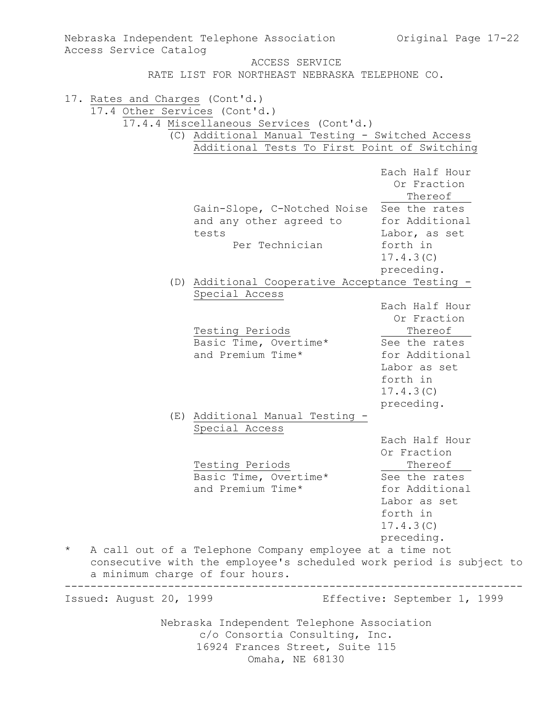| Original Page 17-22<br>Nebraska Independent Telephone Association |                                                                                                        |                              |  |  |  |
|-------------------------------------------------------------------|--------------------------------------------------------------------------------------------------------|------------------------------|--|--|--|
| Access Service Catalog                                            |                                                                                                        |                              |  |  |  |
|                                                                   | ACCESS SERVICE                                                                                         |                              |  |  |  |
|                                                                   | RATE LIST FOR NORTHEAST NEBRASKA TELEPHONE CO.                                                         |                              |  |  |  |
| 17. Rates and Charges (Cont'd.)                                   |                                                                                                        |                              |  |  |  |
| 17.4 Other Services (Cont'd.)                                     |                                                                                                        |                              |  |  |  |
|                                                                   | 17.4.4 Miscellaneous Services (Cont'd.)                                                                |                              |  |  |  |
|                                                                   | (C) Additional Manual Testing - Switched Access                                                        |                              |  |  |  |
|                                                                   | Additional Tests To First Point of Switching                                                           |                              |  |  |  |
|                                                                   |                                                                                                        |                              |  |  |  |
|                                                                   |                                                                                                        | Each Half Hour               |  |  |  |
|                                                                   |                                                                                                        | Or Fraction                  |  |  |  |
|                                                                   |                                                                                                        | Thereof                      |  |  |  |
|                                                                   | Gain-Slope, C-Notched Noise See the rates                                                              |                              |  |  |  |
|                                                                   | and any other agreed to                                                                                | for Additional               |  |  |  |
|                                                                   | tests<br>Per Technician                                                                                | Labor, as set<br>forth in    |  |  |  |
|                                                                   |                                                                                                        | 17.4.3(C)                    |  |  |  |
|                                                                   |                                                                                                        | preceding.                   |  |  |  |
|                                                                   | (D) Additional Cooperative Acceptance Testing -                                                        |                              |  |  |  |
|                                                                   | Special Access                                                                                         |                              |  |  |  |
|                                                                   |                                                                                                        | Each Half Hour               |  |  |  |
|                                                                   |                                                                                                        | Or Fraction                  |  |  |  |
|                                                                   | Testing Periods                                                                                        | Thereof                      |  |  |  |
|                                                                   | Basic Time, Overtime*                                                                                  | See the rates                |  |  |  |
|                                                                   | and Premium Time*                                                                                      | for Additional               |  |  |  |
|                                                                   |                                                                                                        | Labor as set                 |  |  |  |
|                                                                   |                                                                                                        | forth in                     |  |  |  |
|                                                                   |                                                                                                        | 17.4.3(C)                    |  |  |  |
|                                                                   |                                                                                                        | preceding.                   |  |  |  |
|                                                                   | (E) Additional Manual Testing -                                                                        |                              |  |  |  |
|                                                                   | Special Access                                                                                         |                              |  |  |  |
|                                                                   |                                                                                                        | Each Half Hour               |  |  |  |
|                                                                   |                                                                                                        | Or Fraction                  |  |  |  |
|                                                                   | Testing Periods                                                                                        | Thereof                      |  |  |  |
|                                                                   | Basic Time, Overtime*                                                                                  | See the rates                |  |  |  |
|                                                                   | and Premium Time*                                                                                      | for Additional               |  |  |  |
|                                                                   |                                                                                                        | Labor as set                 |  |  |  |
|                                                                   |                                                                                                        | forth in                     |  |  |  |
|                                                                   |                                                                                                        | 17.4.3(C)                    |  |  |  |
| $\star$                                                           |                                                                                                        | preceding.                   |  |  |  |
|                                                                   | A call out of a Telephone Company employee at a time not                                               |                              |  |  |  |
|                                                                   | consecutive with the employee's scheduled work period is subject to<br>a minimum charge of four hours. |                              |  |  |  |
|                                                                   |                                                                                                        |                              |  |  |  |
| Issued: August 20, 1999                                           |                                                                                                        | Effective: September 1, 1999 |  |  |  |
|                                                                   | Nebraska Independent Telephone Association                                                             |                              |  |  |  |
| c/o Consortia Consulting, Inc.                                    |                                                                                                        |                              |  |  |  |
|                                                                   | 16924 Frances Street, Suite 115                                                                        |                              |  |  |  |
| Omaha, NE 68130                                                   |                                                                                                        |                              |  |  |  |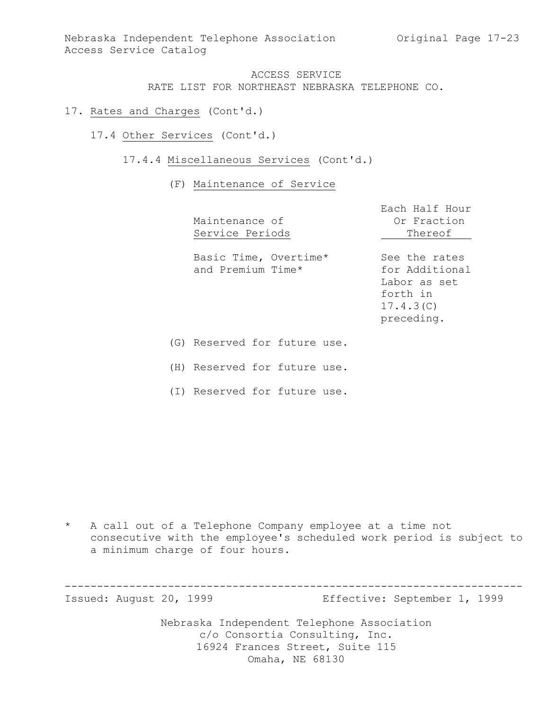- 17. Rates and Charges (Cont'd.)
	- 17.4 Other Services (Cont'd.)
		- 17.4.4 Miscellaneous Services (Cont'd.)

#### (F) Maintenance of Service

| Maintenance of<br>Service Periods          | Each Half Hour<br>Or Fraction<br>Thereof                                               |
|--------------------------------------------|----------------------------------------------------------------------------------------|
| Basic Time, Overtime*<br>and Premium Time* | See the rates<br>for Additional<br>Labor as set<br>forth in<br>17.4.3(C)<br>preceding. |
| (G) Reserved for future use.               |                                                                                        |

(H) Reserved for future use.

(I) Reserved for future use.

\* A call out of a Telephone Company employee at a time not consecutive with the employee's scheduled work period is subject to a minimum charge of four hours.

Nebraska Independent Telephone Association c/o Consortia Consulting, Inc. 16924 Frances Street, Suite 115 ----------------------------------------------------------------------- Issued: August 20, 1999 Effective: September 1, 1999

Omaha, NE 68130